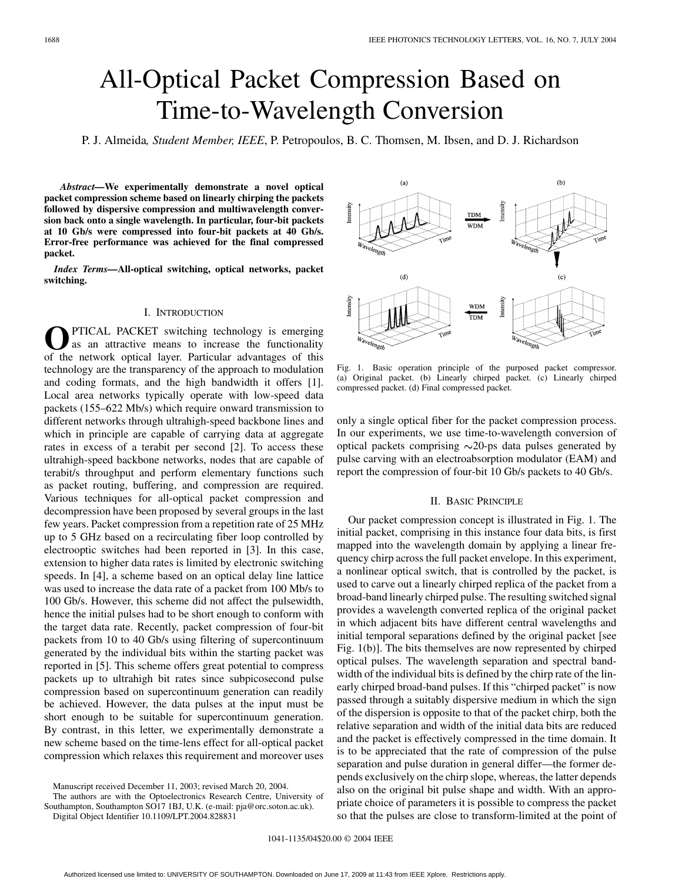# All-Optical Packet Compression Based on Time-to-Wavelength Conversion

P. J. Almeida*, Student Member, IEEE*, P. Petropoulos, B. C. Thomsen, M. Ibsen, and D. J. Richardson

*Abstract—***We experimentally demonstrate a novel optical packet compression scheme based on linearly chirping the packets followed by dispersive compression and multiwavelength conversion back onto a single wavelength. In particular, four-bit packets at 10 Gb/s were compressed into four-bit packets at 40 Gb/s. Error-free performance was achieved for the final compressed packet.**

*Index Terms—***All-optical switching, optical networks, packet switching.**

## I. INTRODUCTION

PTICAL PACKET switching technology is emerging as an attractive means to increase the functionality of the network optical layer. Particular advantages of this technology are the transparency of the approach to modulation and coding formats, and the high bandwidth it offers [[1\]](#page-2-0). Local area networks typically operate with low-speed data packets (155–622 Mb/s) which require onward transmission to different networks through ultrahigh-speed backbone lines and which in principle are capable of carrying data at aggregate rates in excess of a terabit per second [\[2](#page-2-0)]. To access these ultrahigh-speed backbone networks, nodes that are capable of terabit/s throughput and perform elementary functions such as packet routing, buffering, and compression are required. Various techniques for all-optical packet compression and decompression have been proposed by several groups in the last few years. Packet compression from a repetition rate of 25 MHz up to 5 GHz based on a recirculating fiber loop controlled by electrooptic switches had been reported in [\[3](#page-2-0)]. In this case, extension to higher data rates is limited by electronic switching speeds. In [[4\]](#page-2-0), a scheme based on an optical delay line lattice was used to increase the data rate of a packet from 100 Mb/s to 100 Gb/s. However, this scheme did not affect the pulsewidth, hence the initial pulses had to be short enough to conform with the target data rate. Recently, packet compression of four-bit packets from 10 to 40 Gb/s using filtering of supercontinuum generated by the individual bits within the starting packet was reported in [\[5](#page-2-0)]. This scheme offers great potential to compress packets up to ultrahigh bit rates since subpicosecond pulse compression based on supercontinuum generation can readily be achieved. However, the data pulses at the input must be short enough to be suitable for supercontinuum generation. By contrast, in this letter, we experimentally demonstrate a new scheme based on the time-lens effect for all-optical packet compression which relaxes this requirement and moreover uses

 $(a)$  $(b)$ **TDM**  $\overline{\mathbf{w}}$  $(d)$  $(c)$ **WDM** трм

Fig. 1. Basic operation principle of the purposed packet compressor. (a) Original packet. (b) Linearly chirped packet. (c) Linearly chirped compressed packet. (d) Final compressed packet.

only a single optical fiber for the packet compression process. In our experiments, we use time-to-wavelength conversion of optical packets comprising  $\sim$ 20-ps data pulses generated by pulse carving with an electroabsorption modulator (EAM) and report the compression of four-bit 10 Gb/s packets to 40 Gb/s.

#### II. BASIC PRINCIPLE

Our packet compression concept is illustrated in Fig. 1. The initial packet, comprising in this instance four data bits, is first mapped into the wavelength domain by applying a linear frequency chirp across the full packet envelope. In this experiment, a nonlinear optical switch, that is controlled by the packet, is used to carve out a linearly chirped replica of the packet from a broad-band linearly chirped pulse. The resulting switched signal provides a wavelength converted replica of the original packet in which adjacent bits have different central wavelengths and initial temporal separations defined by the original packet [see Fig. 1(b)]. The bits themselves are now represented by chirped optical pulses. The wavelength separation and spectral bandwidth of the individual bits is defined by the chirp rate of the linearly chirped broad-band pulses. If this "chirped packet" is now passed through a suitably dispersive medium in which the sign of the dispersion is opposite to that of the packet chirp, both the relative separation and width of the initial data bits are reduced and the packet is effectively compressed in the time domain. It is to be appreciated that the rate of compression of the pulse separation and pulse duration in general differ—the former depends exclusively on the chirp slope, whereas, the latter depends also on the original bit pulse shape and width. With an appropriate choice of parameters it is possible to compress the packet so that the pulses are close to transform-limited at the point of

Manuscript received December 11, 2003; revised March 20, 2004.

The authors are with the Optoelectronics Research Centre, University of Southampton, Southampton SO17 1BJ, U.K. (e-mail: pja@orc.soton.ac.uk).

Digital Object Identifier 10.1109/LPT.2004.828831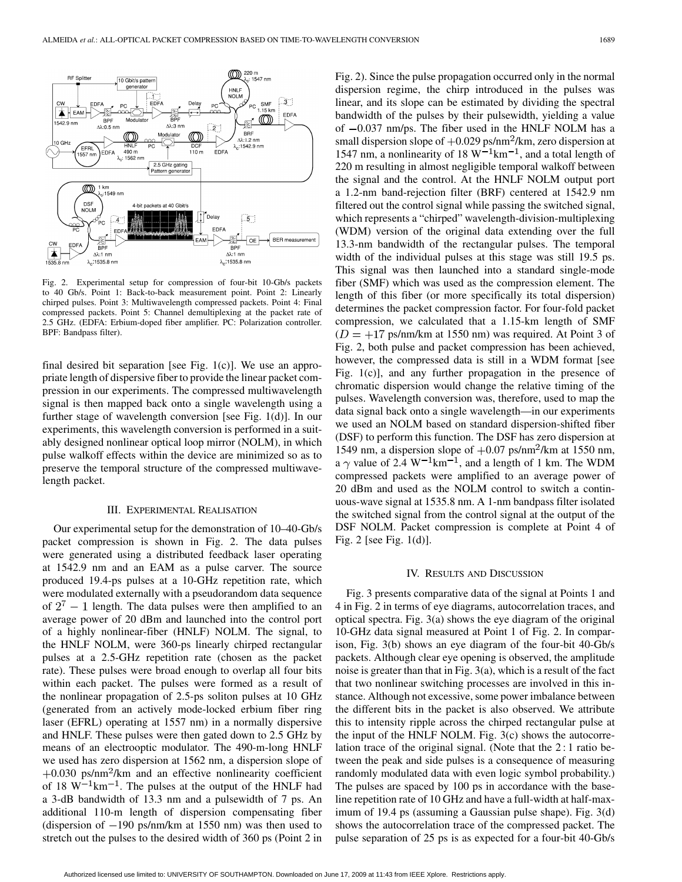

Fig. 2. Experimental setup for compression of four-bit 10-Gb/s packets to 40 Gb/s. Point 1: Back-to-back measurement point. Point 2: Linearly chirped pulses. Point 3: Multiwavelength compressed packets. Point 4: Final compressed packets. Point 5: Channel demultiplexing at the packet rate of 2.5 GHz. (EDFA: Erbium-doped fiber amplifier. PC: Polarization controller. BPF: Bandpass filter).

final desired bit separation [see Fig. 1(c)]. We use an appropriate length of dispersive fiber to provide the linear packet compression in our experiments. The compressed multiwavelength signal is then mapped back onto a single wavelength using a further stage of wavelength conversion [see Fig. 1(d)]. In our experiments, this wavelength conversion is performed in a suitably designed nonlinear optical loop mirror (NOLM), in which pulse walkoff effects within the device are minimized so as to preserve the temporal structure of the compressed multiwavelength packet.

#### III. EXPERIMENTAL REALISATION

Our experimental setup for the demonstration of 10–40-Gb/s packet compression is shown in Fig. 2. The data pulses were generated using a distributed feedback laser operating at 1542.9 nm and an EAM as a pulse carver. The source produced 19.4-ps pulses at a 10-GHz repetition rate, which were modulated externally with a pseudorandom data sequence of  $2^7 - 1$  length. The data pulses were then amplified to an average power of 20 dBm and launched into the control port of a highly nonlinear-fiber (HNLF) NOLM. The signal, to the HNLF NOLM, were 360-ps linearly chirped rectangular pulses at a 2.5-GHz repetition rate (chosen as the packet rate). These pulses were broad enough to overlap all four bits within each packet. The pulses were formed as a result of the nonlinear propagation of 2.5-ps soliton pulses at 10 GHz (generated from an actively mode-locked erbium fiber ring laser (EFRL) operating at 1557 nm) in a normally dispersive and HNLF. These pulses were then gated down to 2.5 GHz by means of an electrooptic modulator. The 490-m-long HNLF we used has zero dispersion at 1562 nm, a dispersion slope of  $+0.030$  ps/nm<sup>2</sup>/km and an effective nonlinearity coefficient of 18  $W^{-1}$ km<sup>-1</sup>. The pulses at the output of the HNLF had a 3-dB bandwidth of 13.3 nm and a pulsewidth of 7 ps. An additional 110-m length of dispersion compensating fiber (dispersion of  $-190$  ps/nm/km at 1550 nm) was then used to stretch out the pulses to the desired width of 360 ps (Point 2 in

Fig. 2). Since the pulse propagation occurred only in the normal dispersion regime, the chirp introduced in the pulses was linear, and its slope can be estimated by dividing the spectral bandwidth of the pulses by their pulsewidth, yielding a value of  $-0.037$  nm/ps. The fiber used in the HNLF NOLM has a small dispersion slope of  $+0.029$  ps/nm<sup>2</sup>/km, zero dispersion at 1547 nm, a nonlinearity of 18  $W^{-1}$ km<sup>-1</sup>, and a total length of 220 m resulting in almost negligible temporal walkoff between the signal and the control. At the HNLF NOLM output port a 1.2-nm band-rejection filter (BRF) centered at 1542.9 nm filtered out the control signal while passing the switched signal, which represents a "chirped" wavelength-division-multiplexing (WDM) version of the original data extending over the full 13.3-nm bandwidth of the rectangular pulses. The temporal width of the individual pulses at this stage was still 19.5 ps. This signal was then launched into a standard single-mode fiber (SMF) which was used as the compression element. The length of this fiber (or more specifically its total dispersion) determines the packet compression factor. For four-fold packet compression, we calculated that a 1.15-km length of SMF  $(D = +17 \text{ ps/nm/km at } 1550 \text{ nm})$  was required. At Point 3 of Fig. 2, both pulse and packet compression has been achieved, however, the compressed data is still in a WDM format [see Fig. 1(c)], and any further propagation in the presence of chromatic dispersion would change the relative timing of the pulses. Wavelength conversion was, therefore, used to map the data signal back onto a single wavelength—in our experiments we used an NOLM based on standard dispersion-shifted fiber (DSF) to perform this function. The DSF has zero dispersion at 1549 nm, a dispersion slope of  $+0.07$  ps/nm<sup>2</sup>/km at 1550 nm, a  $\gamma$  value of 2.4 W<sup>-1</sup>km<sup>-1</sup>, and a length of 1 km. The WDM compressed packets were amplified to an average power of 20 dBm and used as the NOLM control to switch a continuous-wave signal at 1535.8 nm. A 1-nm bandpass filter isolated the switched signal from the control signal at the output of the DSF NOLM. Packet compression is complete at Point 4 of Fig. 2 [see Fig. 1(d)].

#### IV. RESULTS AND DISCUSSION

Fig. 3 presents comparative data of the signal at Points 1 and 4 in Fig. 2 in terms of eye diagrams, autocorrelation traces, and optical spectra. Fig. 3(a) shows the eye diagram of the original 10-GHz data signal measured at Point 1 of Fig. 2. In comparison, Fig. 3(b) shows an eye diagram of the four-bit 40-Gb/s packets. Although clear eye opening is observed, the amplitude noise is greater than that in Fig. 3(a), which is a result of the fact that two nonlinear switching processes are involved in this instance. Although not excessive, some power imbalance between the different bits in the packet is also observed. We attribute this to intensity ripple across the chirped rectangular pulse at the input of the HNLF NOLM. Fig.  $3(c)$  shows the autocorrelation trace of the original signal. (Note that the 2 : 1 ratio between the peak and side pulses is a consequence of measuring randomly modulated data with even logic symbol probability.) The pulses are spaced by 100 ps in accordance with the baseline repetition rate of 10 GHz and have a full-width at half-maximum of 19.4 ps (assuming a Gaussian pulse shape). Fig. 3(d) shows the autocorrelation trace of the compressed packet. The pulse separation of 25 ps is as expected for a four-bit 40-Gb/s